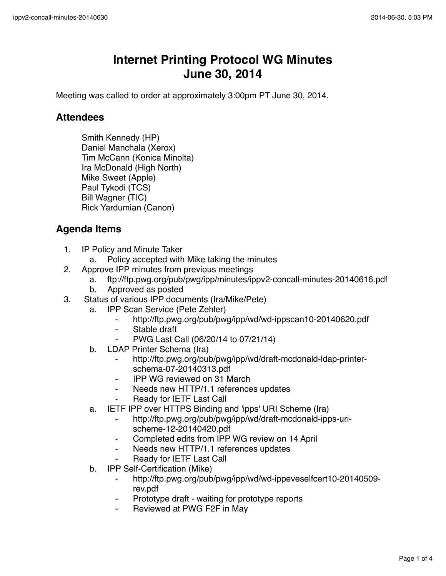## **Internet Printing Protocol WG Minutes June 30, 2014**

Meeting was called to order at approximately 3:00pm PT June 30, 2014.

## **Attendees**

Smith Kennedy (HP) Daniel Manchala (Xerox) Tim McCann (Konica Minolta) Ira McDonald (High North) Mike Sweet (Apple) Paul Tykodi (TCS) Bill Wagner (TIC) Rick Yardumian (Canon)

## **Agenda Items**

- 1. IP Policy and Minute Taker
	- a. Policy accepted with Mike taking the minutes
- 2. Approve IPP minutes from previous meetings
	- a. ftp://ftp.pwg.org/pub/pwg/ipp/minutes/ippv2-concall-minutes-20140616.pdf
	- b. Approved as posted
- 3. Status of various IPP documents (Ira/Mike/Pete)
	- a. IPP Scan Service (Pete Zehler)
		- ⁃ http://ftp.pwg.org/pub/pwg/ipp/wd/wd-ippscan10-20140620.pdf
		- ⁃ Stable draft
		- ⁃ PWG Last Call (06/20/14 to 07/21/14)
	- b. LDAP Printer Schema (Ira)
		- http://ftp.pwg.org/pub/pwg/ipp/wd/draft-mcdonald-ldap-printerschema-07-20140313.pdf
		- **IPP WG reviewed on 31 March**
		- ⁃ Needs new HTTP/1.1 references updates
		- Ready for IETF Last Call
	- a. IETF IPP over HTTPS Binding and 'ipps' URI Scheme (Ira)
		- ⁃ http://ftp.pwg.org/pub/pwg/ipp/wd/draft-mcdonald-ipps-urischeme-12-20140420.pdf
		- ⁃ Completed edits from IPP WG review on 14 April
		- Needs new HTTP/1.1 references updates
		- Ready for IETF Last Call
	- b. IPP Self-Certification (Mike)
		- ⁃ http://ftp.pwg.org/pub/pwg/ipp/wd/wd-ippeveselfcert10-20140509 rev.pdf
		- Prototype draft waiting for prototype reports
		- Reviewed at PWG F2F in May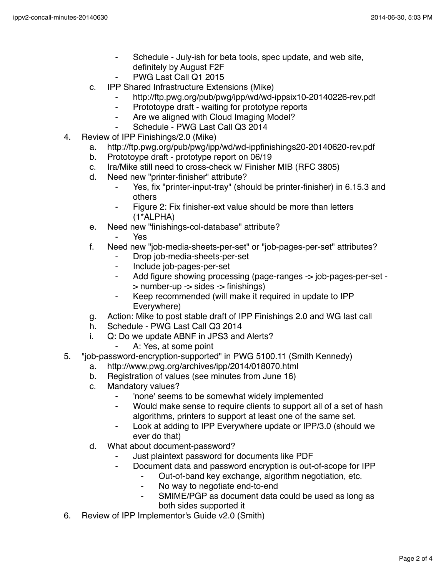- ⁃ Schedule July-ish for beta tools, spec update, and web site, definitely by August F2F
- PWG Last Call Q1 2015
- c. IPP Shared Infrastructure Extensions (Mike)
	- http://ftp.pwg.org/pub/pwg/ipp/wd/wd-ippsix10-20140226-rev.pdf
	- Prototoype draft waiting for prototype reports
	- ⁃ Are we aligned with Cloud Imaging Model?
	- Schedule PWG Last Call Q3 2014
- 4. Review of IPP Finishings/2.0 (Mike)
	- a. http://ftp.pwg.org/pub/pwg/ipp/wd/wd-ippfinishings20-20140620-rev.pdf
	- b. Prototoype draft prototype report on 06/19
	- c. Ira/Mike still need to cross-check w/ Finisher MIB (RFC 3805)
	- d. Need new "printer-finisher" attribute?
		- ⁃ Yes, fix "printer-input-tray" (should be printer-finisher) in 6.15.3 and others
		- Figure 2: Fix finisher-ext value should be more than letters (1\*ALPHA)
	- e. Need new "finishings-col-database" attribute?
		- Yes.
	- f. Need new "job-media-sheets-per-set" or "job-pages-per-set" attributes?
		- Drop job-media-sheets-per-set
		- ⁃ Include job-pages-per-set
		- Add figure showing processing (page-ranges -> job-pages-per-set -> number-up -> sides -> finishings)
		- ⁃ Keep recommended (will make it required in update to IPP Everywhere)
	- g. Action: Mike to post stable draft of IPP Finishings 2.0 and WG last call
	- h. Schedule PWG Last Call Q3 2014
	- i. Q: Do we update ABNF in JPS3 and Alerts?
		- A: Yes, at some point
- 5. "job-password-encryption-supported" in PWG 5100.11 (Smith Kennedy)
	- a. http://www.pwg.org/archives/ipp/2014/018070.html
	- b. Registration of values (see minutes from June 16)
	- c. Mandatory values?
		- ⁃ 'none' seems to be somewhat widely implemented
		- ⁃ Would make sense to require clients to support all of a set of hash algorithms, printers to support at least one of the same set.
		- Look at adding to IPP Everywhere update or IPP/3.0 (should we ever do that)
	- d. What about document-password?
		- Just plaintext password for documents like PDF
		- ⁃ Document data and password encryption is out-of-scope for IPP
			- Out-of-band key exchange, algorithm negotiation, etc.
				- ⁃ No way to negotiate end-to-end
				- SMIME/PGP as document data could be used as long as both sides supported it
- 6. Review of IPP Implementor's Guide v2.0 (Smith)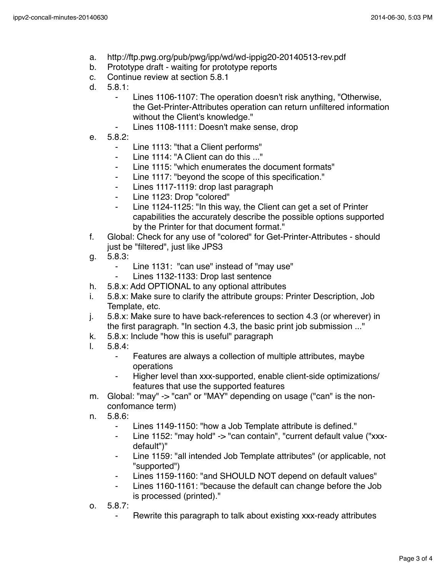- a. http://ftp.pwg.org/pub/pwg/ipp/wd/wd-ippig20-20140513-rev.pdf
- b. Prototype draft waiting for prototype reports
- c. Continue review at section 5.8.1
- d. 5.8.1:
	- ⁃ Lines 1106-1107: The operation doesn't risk anything, "Otherwise, the Get-Printer-Attributes operation can return unfiltered information without the Client's knowledge."
		- Lines 1108-1111: Doesn't make sense, drop
- e. 5.8.2:
	- ⁃ Line 1113: "that a Client performs"
	- ⁃ Line 1114: "A Client can do this ..."
	- ⁃ Line 1115: "which enumerates the document formats"
	- ⁃ Line 1117: "beyond the scope of this specification."
	- ⁃ Lines 1117-1119: drop last paragraph
	- ⁃ Line 1123: Drop "colored"
	- Line 1124-1125: "In this way, the Client can get a set of Printer capabilities the accurately describe the possible options supported by the Printer for that document format."
- f. Global: Check for any use of "colored" for Get-Printer-Attributes should just be "filtered", just like JPS3
- g. 5.8.3:
	- ⁃ Line 1131: "can use" instead of "may use"
		- Lines 1132-1133: Drop last sentence
- h. 5.8.x: Add OPTIONAL to any optional attributes
- i. 5.8.x: Make sure to clarify the attribute groups: Printer Description, Job Template, etc.
- j. 5.8.x: Make sure to have back-references to section 4.3 (or wherever) in the first paragraph. "In section 4.3, the basic print job submission ..."
- k. 5.8.x: Include "how this is useful" paragraph
- l. 5.8.4:
	- ⁃ Features are always a collection of multiple attributes, maybe operations
	- Higher level than xxx-supported, enable client-side optimizations/ features that use the supported features
- m. Global: "may" -> "can" or "MAY" depending on usage ("can" is the nonconfomance term)
- n. 5.8.6:
	- Lines 1149-1150: "how a Job Template attribute is defined."
	- Line 1152: "may hold" -> "can contain", "current default value ("xxxdefault")"
	- Line 1159: "all intended Job Template attributes" (or applicable, not "supported")
	- Lines 1159-1160: "and SHOULD NOT depend on default values"
	- ⁃ Lines 1160-1161: "because the default can change before the Job is processed (printed)."
- o. 5.8.7:
	- Rewrite this paragraph to talk about existing xxx-ready attributes